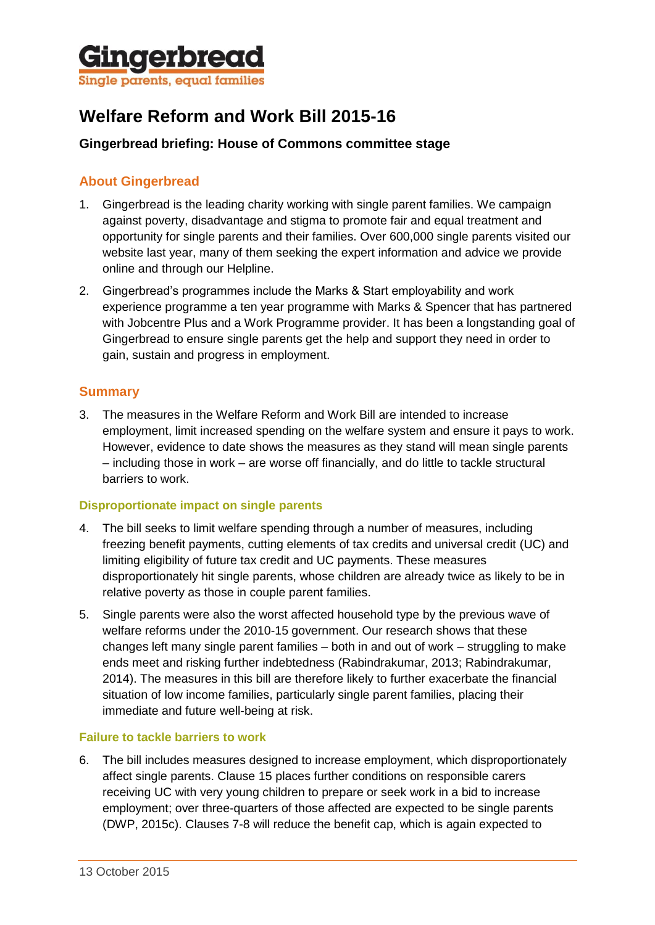

# **Welfare Reform and Work Bill 2015-16**

## **Gingerbread briefing: House of Commons committee stage**

## **About Gingerbread**

- 1. Gingerbread is the leading charity working with single parent families. We campaign against poverty, disadvantage and stigma to promote fair and equal treatment and opportunity for single parents and their families. Over 600,000 single parents visited our website last year, many of them seeking the expert information and advice we provide online and through our Helpline.
- 2. Gingerbread's programmes include the Marks & Start employability and work experience programme a ten year programme with Marks & Spencer that has partnered with Jobcentre Plus and a Work Programme provider. It has been a longstanding goal of Gingerbread to ensure single parents get the help and support they need in order to gain, sustain and progress in employment.

## **Summary**

3. The measures in the Welfare Reform and Work Bill are intended to increase employment, limit increased spending on the welfare system and ensure it pays to work. However, evidence to date shows the measures as they stand will mean single parents – including those in work – are worse off financially, and do little to tackle structural barriers to work.

#### **Disproportionate impact on single parents**

- 4. The bill seeks to limit welfare spending through a number of measures, including freezing benefit payments, cutting elements of tax credits and universal credit (UC) and limiting eligibility of future tax credit and UC payments. These measures disproportionately hit single parents, whose children are already twice as likely to be in relative poverty as those in couple parent families.
- 5. Single parents were also the worst affected household type by the previous wave of welfare reforms under the 2010-15 government. Our research shows that these changes left many single parent families – both in and out of work – struggling to make ends meet and risking further indebtedness (Rabindrakumar, 2013; Rabindrakumar, 2014). The measures in this bill are therefore likely to further exacerbate the financial situation of low income families, particularly single parent families, placing their immediate and future well-being at risk.

#### **Failure to tackle barriers to work**

6. The bill includes measures designed to increase employment, which disproportionately affect single parents. Clause 15 places further conditions on responsible carers receiving UC with very young children to prepare or seek work in a bid to increase employment; over three-quarters of those affected are expected to be single parents (DWP, 2015c). Clauses 7-8 will reduce the benefit cap, which is again expected to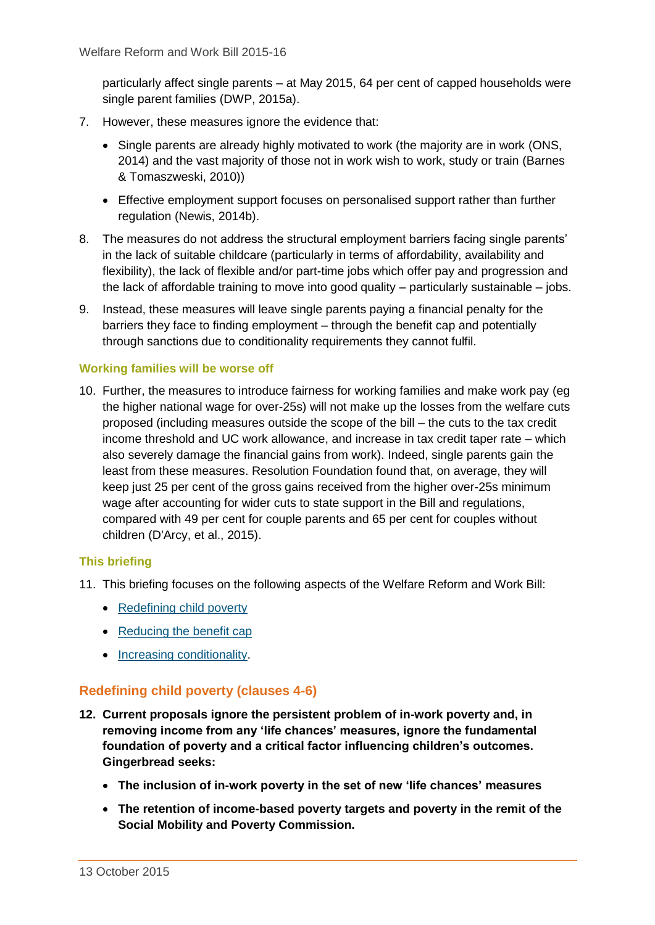particularly affect single parents – at May 2015, 64 per cent of capped households were single parent families (DWP, 2015a).

- 7. However, these measures ignore the evidence that:
	- Single parents are already highly motivated to work (the majority are in work (ONS, 2014) and the vast majority of those not in work wish to work, study or train (Barnes & Tomaszweski, 2010))
	- Effective employment support focuses on personalised support rather than further regulation (Newis, 2014b).
- 8. The measures do not address the structural employment barriers facing single parents' in the lack of suitable childcare (particularly in terms of affordability, availability and flexibility), the lack of flexible and/or part-time jobs which offer pay and progression and the lack of affordable training to move into good quality – particularly sustainable – jobs.
- 9. Instead, these measures will leave single parents paying a financial penalty for the barriers they face to finding employment – through the benefit cap and potentially through sanctions due to conditionality requirements they cannot fulfil.

#### **Working families will be worse off**

10. Further, the measures to introduce fairness for working families and make work pay (eg the higher national wage for over-25s) will not make up the losses from the welfare cuts proposed (including measures outside the scope of the bill – the cuts to the tax credit income threshold and UC work allowance, and increase in tax credit taper rate – which also severely damage the financial gains from work). Indeed, single parents gain the least from these measures. Resolution Foundation found that, on average, they will keep just 25 per cent of the gross gains received from the higher over-25s minimum wage after accounting for wider cuts to state support in the Bill and regulations, compared with 49 per cent for couple parents and 65 per cent for couples without children (D'Arcy, et al., 2015).

## **This briefing**

- 11. This briefing focuses on the following aspects of the Welfare Reform and Work Bill:
	- [Redefining child poverty](#page-1-0)
	- [Reducing the benefit cap](#page-2-0)
	- [Increasing conditionality.](#page-5-0)

## <span id="page-1-0"></span>**Redefining child poverty (clauses 4-6)**

- **12. Current proposals ignore the persistent problem of in-work poverty and, in removing income from any 'life chances' measures, ignore the fundamental foundation of poverty and a critical factor influencing children's outcomes. Gingerbread seeks:**
	- **The inclusion of in-work poverty in the set of new 'life chances' measures**
	- **The retention of income-based poverty targets and poverty in the remit of the Social Mobility and Poverty Commission.**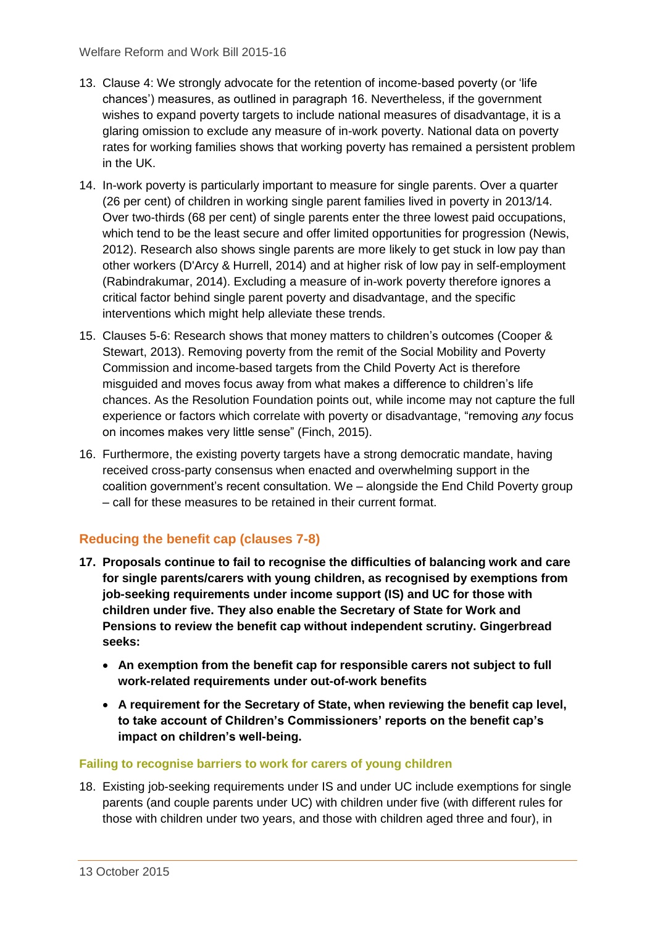- 13. Clause 4: We strongly advocate for the retention of income-based poverty (or 'life chances') measures, as outlined in paragraph 16. Nevertheless, if the government wishes to expand poverty targets to include national measures of disadvantage, it is a glaring omission to exclude any measure of in-work poverty. National data on poverty rates for working families shows that working poverty has remained a persistent problem in the UK.
- 14. In-work poverty is particularly important to measure for single parents. Over a quarter (26 per cent) of children in working single parent families lived in poverty in 2013/14. Over two-thirds (68 per cent) of single parents enter the three lowest paid occupations, which tend to be the least secure and offer limited opportunities for progression (Newis, 2012). Research also shows single parents are more likely to get stuck in low pay than other workers (D'Arcy & Hurrell, 2014) and at higher risk of low pay in self-employment (Rabindrakumar, 2014). Excluding a measure of in-work poverty therefore ignores a critical factor behind single parent poverty and disadvantage, and the specific interventions which might help alleviate these trends.
- 15. Clauses 5-6: Research shows that money matters to children's outcomes (Cooper & Stewart, 2013). Removing poverty from the remit of the Social Mobility and Poverty Commission and income-based targets from the Child Poverty Act is therefore misguided and moves focus away from what makes a difference to children's life chances. As the Resolution Foundation points out, while income may not capture the full experience or factors which correlate with poverty or disadvantage, "removing *any* focus on incomes makes very little sense" (Finch, 2015).
- 16. Furthermore, the existing poverty targets have a strong democratic mandate, having received cross-party consensus when enacted and overwhelming support in the coalition government's recent consultation. We – alongside the End Child Poverty group – call for these measures to be retained in their current format.

# <span id="page-2-0"></span>**Reducing the benefit cap (clauses 7-8)**

- **17. Proposals continue to fail to recognise the difficulties of balancing work and care for single parents/carers with young children, as recognised by exemptions from job-seeking requirements under income support (IS) and UC for those with children under five. They also enable the Secretary of State for Work and Pensions to review the benefit cap without independent scrutiny. Gingerbread seeks:**
	- **An exemption from the benefit cap for responsible carers not subject to full work-related requirements under out-of-work benefits**
	- **A requirement for the Secretary of State, when reviewing the benefit cap level, to take account of Children's Commissioners' reports on the benefit cap's impact on children's well-being.**

## **Failing to recognise barriers to work for carers of young children**

18. Existing job-seeking requirements under IS and under UC include exemptions for single parents (and couple parents under UC) with children under five (with different rules for those with children under two years, and those with children aged three and four), in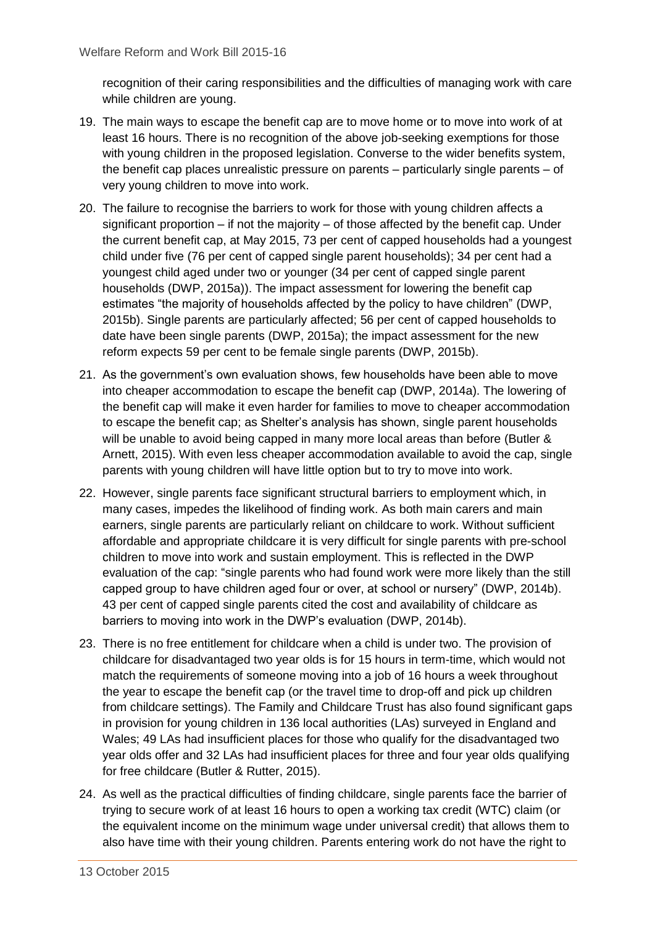recognition of their caring responsibilities and the difficulties of managing work with care while children are young.

- 19. The main ways to escape the benefit cap are to move home or to move into work of at least 16 hours. There is no recognition of the above job-seeking exemptions for those with young children in the proposed legislation. Converse to the wider benefits system, the benefit cap places unrealistic pressure on parents – particularly single parents – of very young children to move into work.
- 20. The failure to recognise the barriers to work for those with young children affects a significant proportion – if not the majority – of those affected by the benefit cap. Under the current benefit cap, at May 2015, 73 per cent of capped households had a youngest child under five (76 per cent of capped single parent households); 34 per cent had a youngest child aged under two or younger (34 per cent of capped single parent households (DWP, 2015a)). The impact assessment for lowering the benefit cap estimates "the majority of households affected by the policy to have children" (DWP, 2015b). Single parents are particularly affected; 56 per cent of capped households to date have been single parents (DWP, 2015a); the impact assessment for the new reform expects 59 per cent to be female single parents (DWP, 2015b).
- 21. As the government's own evaluation shows, few households have been able to move into cheaper accommodation to escape the benefit cap (DWP, 2014a). The lowering of the benefit cap will make it even harder for families to move to cheaper accommodation to escape the benefit cap; as Shelter's analysis has shown, single parent households will be unable to avoid being capped in many more local areas than before (Butler & Arnett, 2015). With even less cheaper accommodation available to avoid the cap, single parents with young children will have little option but to try to move into work.
- 22. However, single parents face significant structural barriers to employment which, in many cases, impedes the likelihood of finding work. As both main carers and main earners, single parents are particularly reliant on childcare to work. Without sufficient affordable and appropriate childcare it is very difficult for single parents with pre-school children to move into work and sustain employment. This is reflected in the DWP evaluation of the cap: "single parents who had found work were more likely than the still capped group to have children aged four or over, at school or nursery" (DWP, 2014b). 43 per cent of capped single parents cited the cost and availability of childcare as barriers to moving into work in the DWP's evaluation (DWP, 2014b).
- 23. There is no free entitlement for childcare when a child is under two. The provision of childcare for disadvantaged two year olds is for 15 hours in term-time, which would not match the requirements of someone moving into a job of 16 hours a week throughout the year to escape the benefit cap (or the travel time to drop-off and pick up children from childcare settings). The Family and Childcare Trust has also found significant gaps in provision for young children in 136 local authorities (LAs) surveyed in England and Wales; 49 LAs had insufficient places for those who qualify for the disadvantaged two year olds offer and 32 LAs had insufficient places for three and four year olds qualifying for free childcare (Butler & Rutter, 2015).
- 24. As well as the practical difficulties of finding childcare, single parents face the barrier of trying to secure work of at least 16 hours to open a working tax credit (WTC) claim (or the equivalent income on the minimum wage under universal credit) that allows them to also have time with their young children. Parents entering work do not have the right to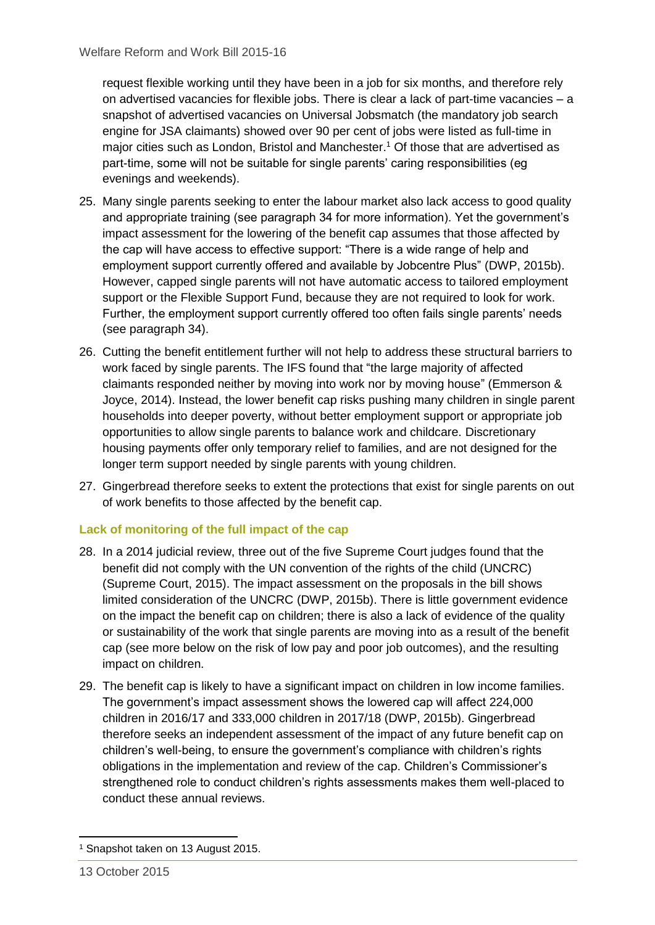request flexible working until they have been in a job for six months, and therefore rely on advertised vacancies for flexible jobs. There is clear a lack of part-time vacancies – a snapshot of advertised vacancies on Universal Jobsmatch (the mandatory job search engine for JSA claimants) showed over 90 per cent of jobs were listed as full-time in major cities such as London, Bristol and Manchester. <sup>1</sup> Of those that are advertised as part-time, some will not be suitable for single parents' caring responsibilities (eg evenings and weekends).

- 25. Many single parents seeking to enter the labour market also lack access to good quality and appropriate training (see paragraph 34 for more information). Yet the government's impact assessment for the lowering of the benefit cap assumes that those affected by the cap will have access to effective support: "There is a wide range of help and employment support currently offered and available by Jobcentre Plus" (DWP, 2015b). However, capped single parents will not have automatic access to tailored employment support or the Flexible Support Fund, because they are not required to look for work. Further, the employment support currently offered too often fails single parents' needs (see paragraph 34).
- 26. Cutting the benefit entitlement further will not help to address these structural barriers to work faced by single parents. The IFS found that "the large majority of affected claimants responded neither by moving into work nor by moving house" (Emmerson & Joyce, 2014). Instead, the lower benefit cap risks pushing many children in single parent households into deeper poverty, without better employment support or appropriate job opportunities to allow single parents to balance work and childcare. Discretionary housing payments offer only temporary relief to families, and are not designed for the longer term support needed by single parents with young children.
- 27. Gingerbread therefore seeks to extent the protections that exist for single parents on out of work benefits to those affected by the benefit cap.

## **Lack of monitoring of the full impact of the cap**

- 28. In a 2014 judicial review, three out of the five Supreme Court judges found that the benefit did not comply with the UN convention of the rights of the child (UNCRC) (Supreme Court, 2015). The impact assessment on the proposals in the bill shows limited consideration of the UNCRC (DWP, 2015b). There is little government evidence on the impact the benefit cap on children; there is also a lack of evidence of the quality or sustainability of the work that single parents are moving into as a result of the benefit cap (see more below on the risk of low pay and poor job outcomes), and the resulting impact on children.
- 29. The benefit cap is likely to have a significant impact on children in low income families. The government's impact assessment shows the lowered cap will affect 224,000 children in 2016/17 and 333,000 children in 2017/18 (DWP, 2015b). Gingerbread therefore seeks an independent assessment of the impact of any future benefit cap on children's well-being, to ensure the government's compliance with children's rights obligations in the implementation and review of the cap. Children's Commissioner's strengthened role to conduct children's rights assessments makes them well-placed to conduct these annual reviews.

<sup>-</sup><sup>1</sup> Snapshot taken on 13 August 2015.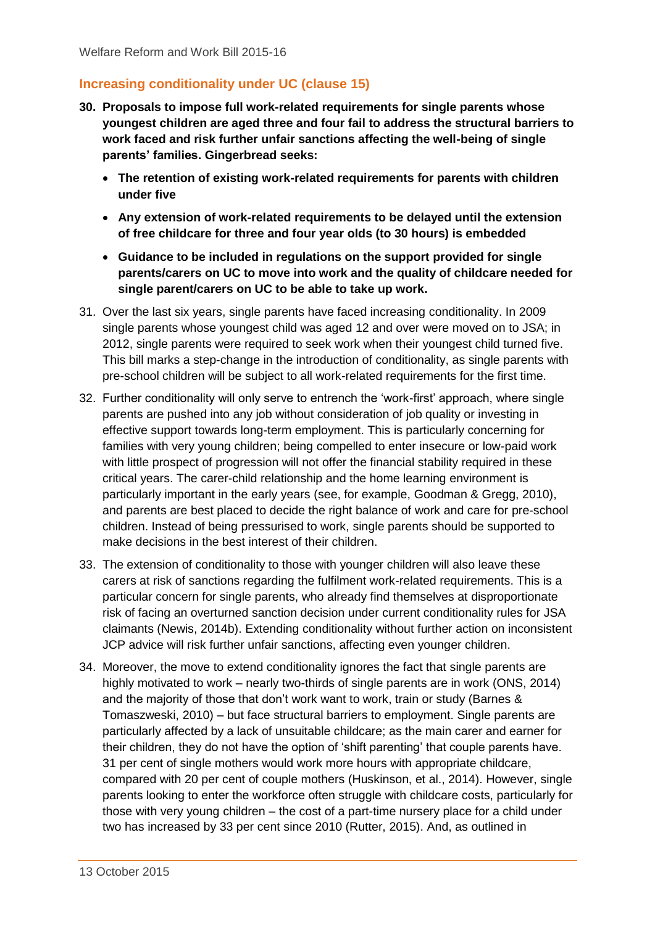## <span id="page-5-0"></span>**Increasing conditionality under UC (clause 15)**

- **30. Proposals to impose full work-related requirements for single parents whose youngest children are aged three and four fail to address the structural barriers to work faced and risk further unfair sanctions affecting the well-being of single parents' families. Gingerbread seeks:**
	- **The retention of existing work-related requirements for parents with children under five**
	- **Any extension of work-related requirements to be delayed until the extension of free childcare for three and four year olds (to 30 hours) is embedded**
	- **Guidance to be included in regulations on the support provided for single parents/carers on UC to move into work and the quality of childcare needed for single parent/carers on UC to be able to take up work.**
- 31. Over the last six years, single parents have faced increasing conditionality. In 2009 single parents whose youngest child was aged 12 and over were moved on to JSA; in 2012, single parents were required to seek work when their youngest child turned five. This bill marks a step-change in the introduction of conditionality, as single parents with pre-school children will be subject to all work-related requirements for the first time.
- 32. Further conditionality will only serve to entrench the 'work-first' approach, where single parents are pushed into any job without consideration of job quality or investing in effective support towards long-term employment. This is particularly concerning for families with very young children; being compelled to enter insecure or low-paid work with little prospect of progression will not offer the financial stability required in these critical years. The carer-child relationship and the home learning environment is particularly important in the early years (see, for example, Goodman & Gregg, 2010), and parents are best placed to decide the right balance of work and care for pre-school children. Instead of being pressurised to work, single parents should be supported to make decisions in the best interest of their children.
- 33. The extension of conditionality to those with younger children will also leave these carers at risk of sanctions regarding the fulfilment work-related requirements. This is a particular concern for single parents, who already find themselves at disproportionate risk of facing an overturned sanction decision under current conditionality rules for JSA claimants (Newis, 2014b). Extending conditionality without further action on inconsistent JCP advice will risk further unfair sanctions, affecting even younger children.
- 34. Moreover, the move to extend conditionality ignores the fact that single parents are highly motivated to work – nearly two-thirds of single parents are in work (ONS, 2014) and the majority of those that don't work want to work, train or study (Barnes & Tomaszweski, 2010) – but face structural barriers to employment. Single parents are particularly affected by a lack of unsuitable childcare; as the main carer and earner for their children, they do not have the option of 'shift parenting' that couple parents have. 31 per cent of single mothers would work more hours with appropriate childcare, compared with 20 per cent of couple mothers (Huskinson, et al., 2014). However, single parents looking to enter the workforce often struggle with childcare costs, particularly for those with very young children – the cost of a part-time nursery place for a child under two has increased by 33 per cent since 2010 (Rutter, 2015). And, as outlined in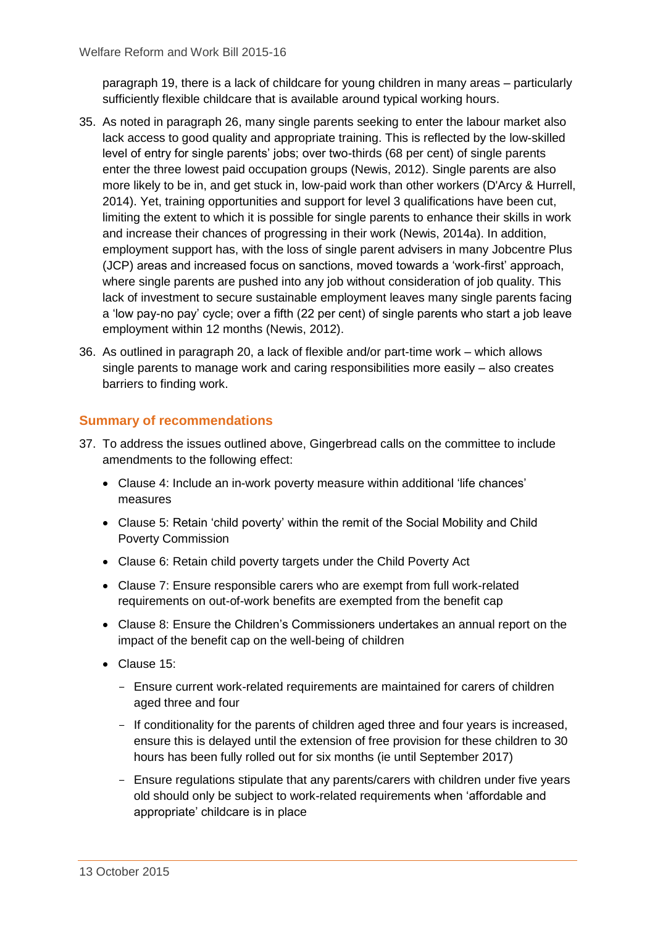paragraph 19, there is a lack of childcare for young children in many areas – particularly sufficiently flexible childcare that is available around typical working hours.

- 35. As noted in paragraph 26, many single parents seeking to enter the labour market also lack access to good quality and appropriate training. This is reflected by the low-skilled level of entry for single parents' jobs; over two-thirds (68 per cent) of single parents enter the three lowest paid occupation groups (Newis, 2012). Single parents are also more likely to be in, and get stuck in, low-paid work than other workers (D'Arcy & Hurrell, 2014). Yet, training opportunities and support for level 3 qualifications have been cut, limiting the extent to which it is possible for single parents to enhance their skills in work and increase their chances of progressing in their work (Newis, 2014a). In addition, employment support has, with the loss of single parent advisers in many Jobcentre Plus (JCP) areas and increased focus on sanctions, moved towards a 'work-first' approach, where single parents are pushed into any job without consideration of job quality. This lack of investment to secure sustainable employment leaves many single parents facing a 'low pay-no pay' cycle; over a fifth (22 per cent) of single parents who start a job leave employment within 12 months (Newis, 2012).
- 36. As outlined in paragraph 20, a lack of flexible and/or part-time work which allows single parents to manage work and caring responsibilities more easily – also creates barriers to finding work.

## **Summary of recommendations**

- 37. To address the issues outlined above, Gingerbread calls on the committee to include amendments to the following effect:
	- Clause 4: Include an in-work poverty measure within additional 'life chances' measures
	- Clause 5: Retain 'child poverty' within the remit of the Social Mobility and Child Poverty Commission
	- Clause 6: Retain child poverty targets under the Child Poverty Act
	- Clause 7: Ensure responsible carers who are exempt from full work-related requirements on out-of-work benefits are exempted from the benefit cap
	- Clause 8: Ensure the Children's Commissioners undertakes an annual report on the impact of the benefit cap on the well-being of children
	- Clause 15:
		- Ensure current work-related requirements are maintained for carers of children aged three and four
		- If conditionality for the parents of children aged three and four years is increased, ensure this is delayed until the extension of free provision for these children to 30 hours has been fully rolled out for six months (ie until September 2017)
		- Ensure regulations stipulate that any parents/carers with children under five years old should only be subject to work-related requirements when 'affordable and appropriate' childcare is in place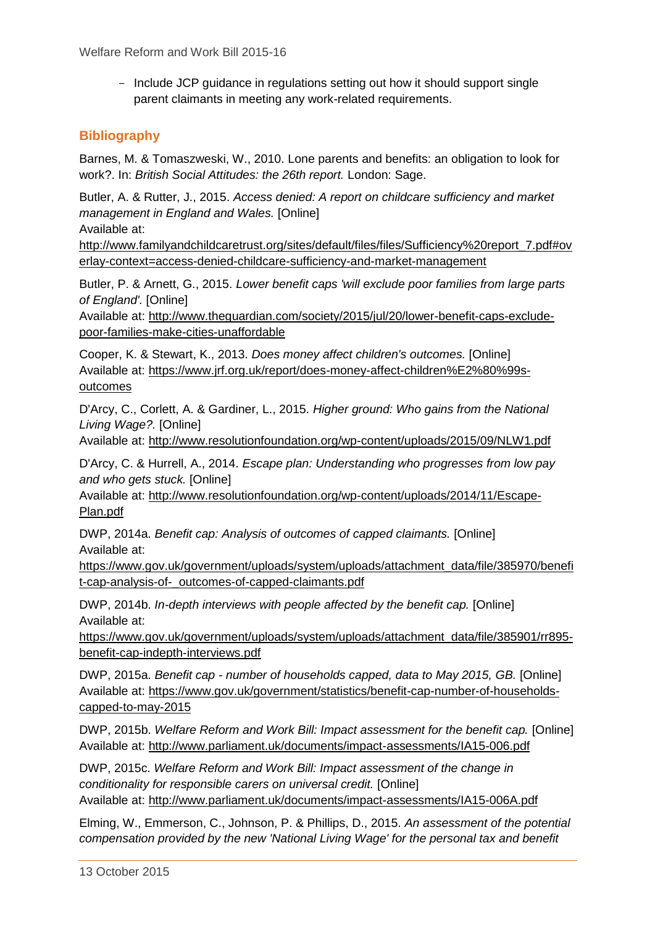- Include JCP guidance in regulations setting out how it should support single parent claimants in meeting any work-related requirements.

## **Bibliography**

Barnes, M. & Tomaszweski, W., 2010. Lone parents and benefits: an obligation to look for work?. In: *British Social Attitudes: the 26th report.* London: Sage.

Butler, A. & Rutter, J., 2015. *Access denied: A report on childcare sufficiency and market management in England and Wales.* [Online]

Available at:

http://www.familyandchildcaretrust.org/sites/default/files/files/Sufficiency%20report\_7.pdf#ov erlay-context=access-denied-childcare-sufficiency-and-market-management

Butler, P. & Arnett, G., 2015. *Lower benefit caps 'will exclude poor families from large parts of England'.* [Online]

Available at: http://www.theguardian.com/society/2015/jul/20/lower-benefit-caps-excludepoor-families-make-cities-unaffordable

Cooper, K. & Stewart, K., 2013. *Does money affect children's outcomes.* [Online] Available at: https://www.jrf.org.uk/report/does-money-affect-children%E2%80%99soutcomes

D'Arcy, C., Corlett, A. & Gardiner, L., 2015. *Higher ground: Who gains from the National Living Wage?.* [Online]

Available at: http://www.resolutionfoundation.org/wp-content/uploads/2015/09/NLW1.pdf

D'Arcy, C. & Hurrell, A., 2014. *Escape plan: Understanding who progresses from low pay and who gets stuck.* [Online]

Available at: http://www.resolutionfoundation.org/wp-content/uploads/2014/11/Escape-Plan.pdf

DWP, 2014a. *Benefit cap: Analysis of outcomes of capped claimants.* [Online] Available at:

https://www.gov.uk/government/uploads/system/uploads/attachment\_data/file/385970/benefi t-cap-analysis-of-\_outcomes-of-capped-claimants.pdf

DWP, 2014b. *In-depth interviews with people affected by the benefit cap.* [Online] Available at:

https://www.gov.uk/government/uploads/system/uploads/attachment\_data/file/385901/rr895 benefit-cap-indepth-interviews.pdf

DWP, 2015a. *Benefit cap - number of households capped, data to May 2015, GB.* [Online] Available at: https://www.gov.uk/government/statistics/benefit-cap-number-of-householdscapped-to-may-2015

DWP, 2015b. *Welfare Reform and Work Bill: Impact assessment for the benefit cap.* [Online] Available at: http://www.parliament.uk/documents/impact-assessments/IA15-006.pdf

DWP, 2015c. *Welfare Reform and Work Bill: Impact assessment of the change in conditionality for responsible carers on universal credit.* [Online] Available at: http://www.parliament.uk/documents/impact-assessments/IA15-006A.pdf

Elming, W., Emmerson, C., Johnson, P. & Phillips, D., 2015. *An assessment of the potential compensation provided by the new 'National Living Wage' for the personal tax and benefit*